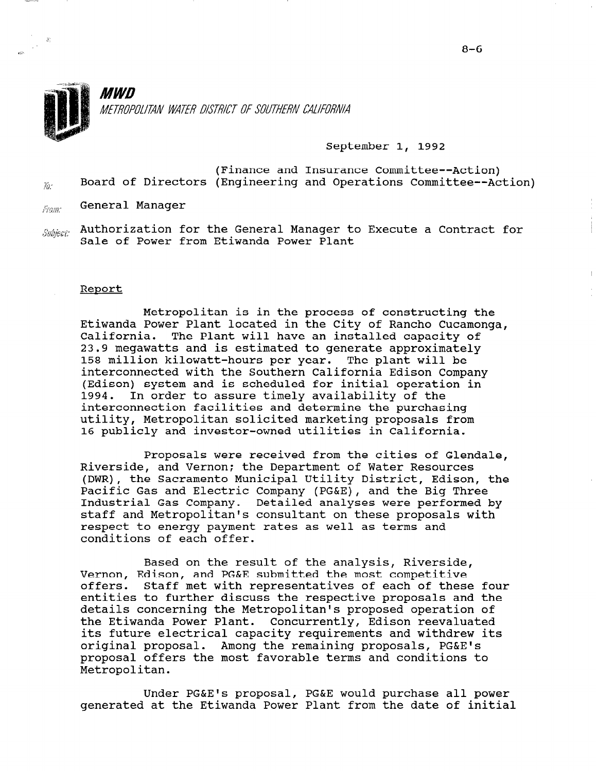

*MWD* METROPOLITAN WATER DISTRICT OF SOUTHERN CALIFORNIA

# September 1, 1992

(Finance and Insurance Committee--Action)  $j_{\hat{u}'}$  Board of Directors (Engineering and Operations Committee--Action)

 $L_{F\!O\!I\!I\!I\!I}$ . General Manager

 $_{\mathit{Subject:}}$  Authorization for the General Manager to Execute a Contract for Sale of Power from Etiwanda Power Plant

#### Report

Metropolitan is in the process of constructing the Etiwanda Power Plant located in the City of Rancho Cucamonga, California. The Plant will have an installed capacity of 23.9 megawatts and is estimated to generate approximately 158 million kilowatt-hours per year. The plant will be interconnected with the Southern California Edison Company (Edison) system and is scheduled for initial operation in 1994. In order to assure timely availability of the interconnection facilities and determine the purchasing utility, Metropolitan solicited marketing proposals from 16 publicly and investor-owned utilities in California.

Proposals were received from the cities of Glendale, Riverside, and Vernon; the Department of Water Resources (DWR), the Sacramento Municipal Utility District, Edison, the Pacific Gas and Electric Company (PG&E), and the Big Three Industrial Gas Company. Detailed analyses were performed by staff and Metropolitan's consultant on these proposals with respect to energy payment rates as well as terms and conditions of each offer.

Based on the result of the analysis, Riverside, Vernon, Edison, and PG&E submitted the most competitive vernon, Edison, and Peac Submitted the most competitive<br>effects... Staff met with representatives of each of these four entities to further discuss the respective proposals and the entities to further discuss the respective proposals and the details concerning the Metropolitan's proposed operation of details concerning the metropolitan's proposed operation.<br>The Etimology Power Plant. Concurrently, Edison receptived the futwanda POWER Plant. CONCURRENTLY, futform reevaluated its future electrical capacity requirements and withdrew its original proposal. Among the remaining proposals, PG&E's proposal offers the most favorable terms and conditions to<br>Metropolitan.

Under PG&E's proposal, PG&E would purchase all power generated at the Etima Proposal, Power Would purchase all pow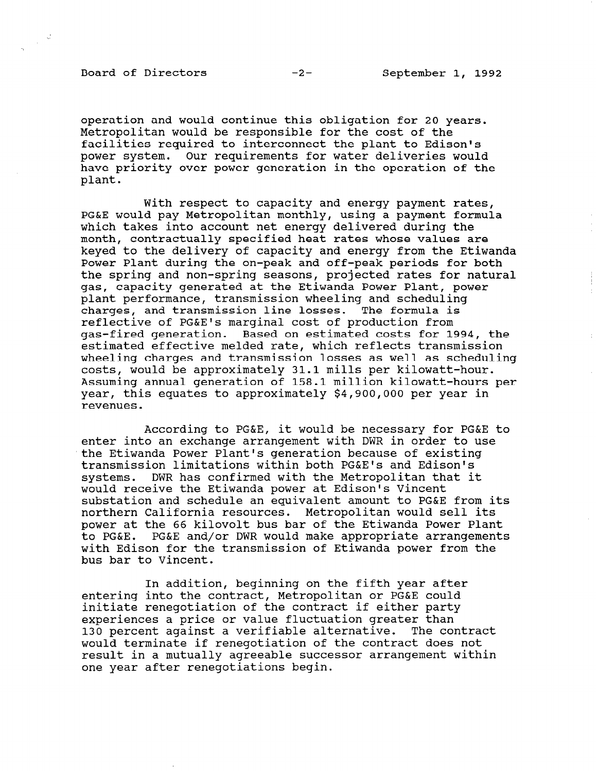Board of Directors -2- September 1, 1992

 $\mathcal{L}$ 

operation and would continue this obligation for 20 years. Metropolitan would be responsible for the cost of the facilities required to interconnect the plant to Edison's power system. Our requirements for water deliveries would have priority over power generation in the operation of the plant.

With respect to capacity and energy payment rates, PG&E would pay Metropolitan monthly, using a payment formula which takes into account net energy delivered during the month, contractually specified heat rates whose values are keyed to the delivery of capacity and energy from the Etiwanda Power Plant during the on-peak and off-peak periods for both the spring and non-spring seasons, projected rates for natural gas, capacity generated at the Etiwanda Power Plant, power plant performance, transmission wheeling and scheduling charges, and transmission line losses. The formula is reflective of PG&E's marginal cost of production from gas-fired generation. Based on estimated costs for 1994, the estimated effective melded rate, which reflects transmission wheeling charges and transmission losses as well as scheduling wheeling endiges and cransmission resses as well as some<br>costs, would be approximately 31.1 mills per kilowatt-h Assuming annual generation of 158.1 million kilowatt-hours per year, this equates to approximately \$4,900,000 per year in revenues.

According to PG&E, it would be necessary for PG&E to enter into an exchange arrangement with DWR in order to use the Etiwanda Power Plant's generation because of existing transmission limitations within both PG&E's and Edison's systems. DWR has confirmed with the Metropolitan that it would receive the Etiwanda power at Edison's Vincent substation and schedule an equivalent amount to PG&E from its northern California resources. Metropolitan would sell its power at the 66 kilovolt bus bar of the Etiwanda Power Plant to PG&E. PG&E and/or DWR would make appropriate arrangements with Edison for the transmission of Etiwanda power from the bus bar to Vincent.

In addition, beginning on the fifth year after entering into the contract, Metropolitan or PG&E could entering filto the contract, netroportian or real courexperiences a price or value fluctuation greater than experiences a price or value fluctuation greater than<br>130 percent against a verifiable alternative. The contract 130 percent against a verifiance afternative. The contra<br>The contract does not the contract does not would terminate if renegotiation of the contract does not result in a mutually agreeable successor arrangement within<br>one year after renegotiations begin.